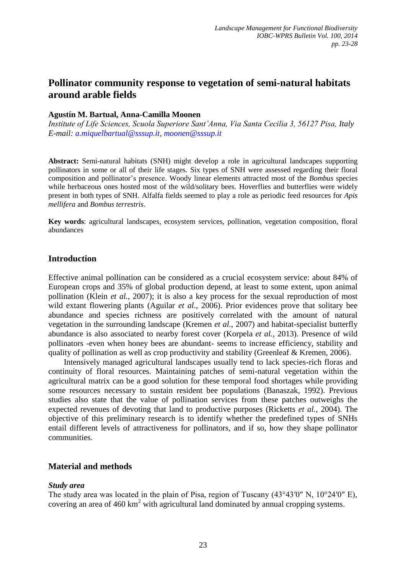# **Pollinator community response to vegetation of semi-natural habitats around arable fields**

# **Agustín M. Bartual, Anna-Camilla Moonen**

*Institute of Life Sciences, Scuola Superiore Sant'Anna, Via Santa Cecilia 3, 56127 Pisa, Italy E-mail: a.miquelbartual@sssup.it, moonen@sssup.it*

**Abstract:** Semi-natural habitats (SNH) might develop a role in agricultural landscapes supporting pollinators in some or all of their life stages. Six types of SNH were assessed regarding their floral composition and pollinator's presence. Woody linear elements attracted most of the *Bombus* species while herbaceous ones hosted most of the wild/solitary bees. Hoverflies and butterflies were widely present in both types of SNH. Alfalfa fields seemed to play a role as periodic feed resources for *Apis mellifera* and *Bombus terrestris*.

**Key words**: agricultural landscapes, ecosystem services, pollination, vegetation composition, floral abundances

# **Introduction**

Effective animal pollination can be considered as a crucial ecosystem service: about 84% of European crops and 35% of global production depend, at least to some extent, upon animal pollination (Klein *et al.*[, 2007\)](#page-4-0); it is also a key process for the sexual reproduction of most wild extant flowering plants [\(Aguilar](#page-4-1) *et al.*, 2006). Prior evidences prove that solitary bee abundance and species richness are positively correlated with the amount of natural vegetation in the surrounding landscape [\(Kremen](#page-5-0) *et al.*, 2007) and habitat-specialist butterfly abundance is also associated to nearby forest cover [\(Korpela](#page-5-1) *et al.*, 2013). Presence of wild pollinators -even when honey bees are abundant- seems to increase efficiency, stability and quality of pollination as well as crop productivity and stability [\(Greenleaf & Kremen, 2006\)](#page-4-2).

Intensively managed agricultural landscapes usually tend to lack species-rich floras and continuity of floral resources. Maintaining patches of semi-natural vegetation within the agricultural matrix can be a good solution for these temporal food shortages while providing some resources necessary to sustain resident bee populations [\(Banaszak, 1992\)](#page-4-3). Previous studies also state that the value of pollination services from these patches outweighs the expected revenues of devoting that land to productive purposes [\(Ricketts](#page-5-2) *et al.*, 2004). The objective of this preliminary research is to identify whether the predefined types of SNHs entail different levels of attractiveness for pollinators, and if so, how they shape pollinator communities.

## **Material and methods**

## *Study area*

The study area was located in the plain of Pisa, region of Tuscany (43°43′0″ N, 10°24′0″ E), covering an area of 460 km<sup>2</sup> with agricultural land dominated by annual cropping systems.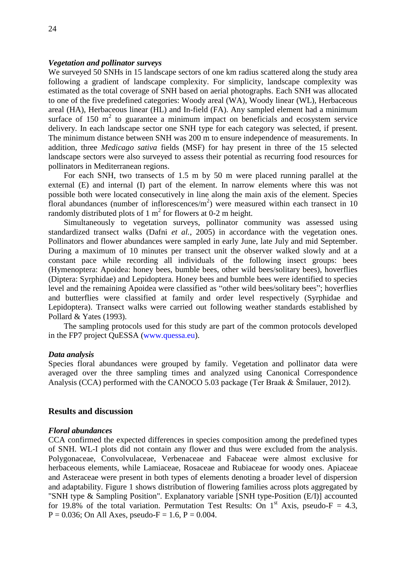### *Vegetation and pollinator surveys*

We surveyed 50 SNHs in 15 landscape sectors of one km radius scattered along the study area following a gradient of landscape complexity. For simplicity, landscape complexity was estimated as the total coverage of SNH based on aerial photographs. Each SNH was allocated to one of the five predefined categories: Woody areal (WA), Woody linear (WL), Herbaceous areal (HA), Herbaceous linear (HL) and In-field (FA). Any sampled element had a minimum surface of 150  $m<sup>2</sup>$  to guarantee a minimum impact on beneficials and ecosystem service delivery. In each landscape sector one SNH type for each category was selected, if present. The minimum distance between SNH was 200 m to ensure independence of measurements. In addition, three *Medicago sativa* fields (MSF) for hay present in three of the 15 selected landscape sectors were also surveyed to assess their potential as recurring food resources for pollinators in Mediterranean regions.

For each SNH, two transects of 1.5 m by 50 m were placed running parallel at the external (E) and internal (I) part of the element. In narrow elements where this was not possible both were located consecutively in line along the main axis of the element. Species floral abundances (number of inflorescences/ $m<sup>2</sup>$ ) were measured within each transect in 10 randomly distributed plots of 1  $m^2$  for flowers at 0-2 m height.

Simultaneously to vegetation surveys, pollinator community was assessed using standardized transect walks (Dafni *et al.*[, 2005\)](#page-4-4) in accordance with the vegetation ones. Pollinators and flower abundances were sampled in early June, late July and mid September. During a maximum of 10 minutes per transect unit the observer walked slowly and at a constant pace while recording all individuals of the following insect groups: bees (Hymenoptera: Apoidea: honey bees, bumble bees, other wild bees/solitary bees), hoverflies (Diptera: Syrphidae) and Lepidoptera. Honey bees and bumble bees were identified to species level and the remaining Apoidea were classified as "other wild bees/solitary bees"; hoverflies and butterflies were classified at family and order level respectively (Syrphidae and Lepidoptera). Transect walks were carried out following weather standards established by Pollard & Yates [\(1993\)](#page-5-3).

The sampling protocols used for this study are part of the common protocols developed in the FP7 project QuESSA (www.quessa.eu).

#### *Data analysis*

Species floral abundances were grouped by family. Vegetation and pollinator data were averaged over the three sampling times and analyzed using Canonical Correspondence Analysis (CCA) performed with the CANOCO 5.03 package [\(Ter Braak & Šmilauer, 2012\)](#page-5-4).

### **Results and discussion**

#### *Floral abundances*

CCA confirmed the expected differences in species composition among the predefined types of SNH. WL-I plots did not contain any flower and thus were excluded from the analysis. Polygonaceae, Convolvulaceae, Verbenaceae and Fabaceae were almost exclusive for herbaceous elements, while Lamiaceae, Rosaceae and Rubiaceae for woody ones. Apiaceae and Asteraceae were present in both types of elements denoting a broader level of dispersion and adaptability. Figure 1 shows distribution of flowering families across plots aggregated by "SNH type & Sampling Position". Explanatory variable [SNH type-Position (E/I)] accounted for 19.8% of the total variation. Permutation Test Results: On  $1<sup>st</sup>$  Axis, pseudo-F = 4.3,  $P = 0.036$ ; On All Axes, pseudo- $F = 1.6$ ,  $P = 0.004$ .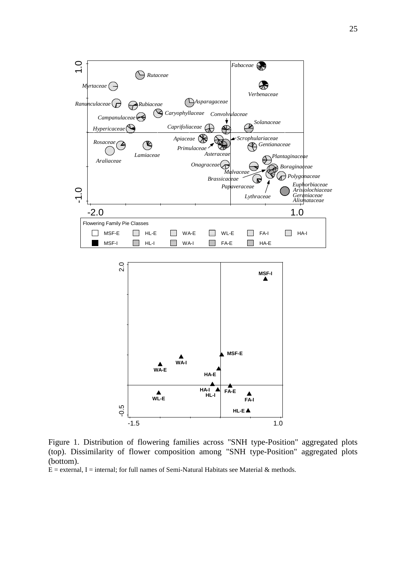

Figure 1. Distribution of flowering families across "SNH type-Position" aggregated plots (top). Dissimilarity of flower composition among "SNH type-Position" aggregated plots (bottom).

 $E =$  external, I = internal; for full names of Semi-Natural Habitats see Material & methods.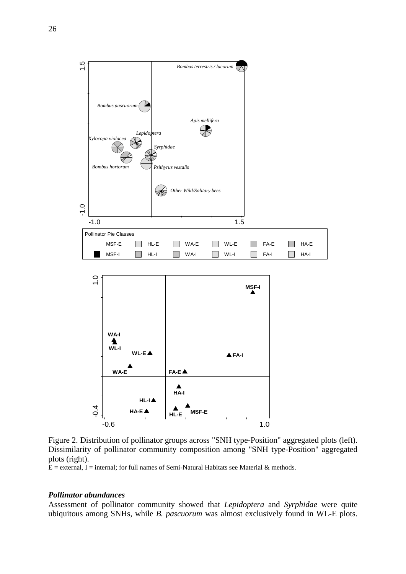

Figure 2. Distribution of pollinator groups across "SNH type-Position" aggregated plots (left). Dissimilarity of pollinator community composition among "SNH type-Position" aggregated plots (right).

 $\overline{E}$  = external, I = internal; for full names of Semi-Natural Habitats see Material & methods.

#### *Pollinator abundances*

Assessment of pollinator community showed that *Lepidoptera* and *Syrphidae* were quite ubiquitous among SNHs, while *B. pascuorum* was almost exclusively found in WL-E plots.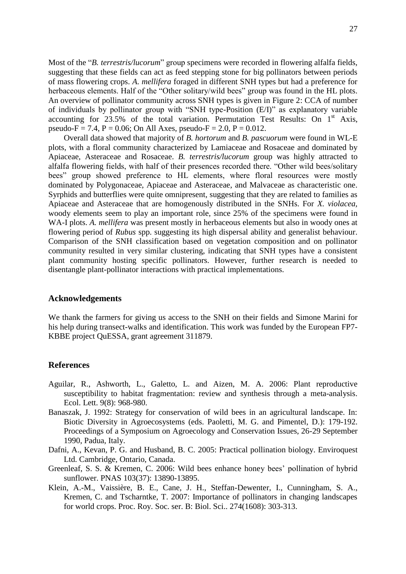Most of the "*B. terrestris/lucorum*" group specimens were recorded in flowering alfalfa fields, suggesting that these fields can act as feed stepping stone for big pollinators between periods of mass flowering crops. *A. mellifera* foraged in different SNH types but had a preference for herbaceous elements. Half of the "Other solitary/wild bees" group was found in the HL plots. An overview of pollinator community across SNH types is given in Figure 2: CCA of number of individuals by pollinator group with "SNH type-Position (E/I)" as explanatory variable accounting for  $23.5\%$  of the total variation. Permutation Test Results: On  $1<sup>st</sup>$  Axis, pseudo-F = 7.4, P = 0.06; On All Axes, pseudo-F = 2.0, P = 0.012.

Overall data showed that majority of *B. hortorum* and *B. pascuorum* were found in WL-E plots, with a floral community characterized by Lamiaceae and Rosaceae and dominated by Apiaceae, Asteraceae and Rosaceae. *B. terrestris/lucorum* group was highly attracted to alfalfa flowering fields, with half of their presences recorded there. "Other wild bees/solitary bees" group showed preference to HL elements, where floral resources were mostly dominated by Polygonaceae, Apiaceae and Asteraceae, and Malvaceae as characteristic one. Syrphids and butterflies were quite omnipresent, suggesting that they are related to families as Apiaceae and Asteraceae that are homogenously distributed in the SNHs. For *X. violacea,* woody elements seem to play an important role, since 25% of the specimens were found in WA-I plots. *A. mellifera* was present mostly in herbaceous elements but also in woody ones at flowering period of *Rubus* spp. suggesting its high dispersal ability and generalist behaviour. Comparison of the SNH classification based on vegetation composition and on pollinator community resulted in very similar clustering, indicating that SNH types have a consistent plant community hosting specific pollinators. However, further research is needed to disentangle plant-pollinator interactions with practical implementations.

### **Acknowledgements**

We thank the farmers for giving us access to the SNH on their fields and Simone Marini for his help during transect-walks and identification. This work was funded by the European FP7- KBBE project QuESSA, grant agreement 311879.

### **References**

- <span id="page-4-1"></span>Aguilar, R., Ashworth, L., Galetto, L. and Aizen, M. A. 2006: Plant reproductive susceptibility to habitat fragmentation: review and synthesis through a meta-analysis. Ecol. Lett. 9(8): 968-980.
- <span id="page-4-3"></span>Banaszak, J. 1992: Strategy for conservation of wild bees in an agricultural landscape. In: Biotic Diversity in Agroecosystems (eds. Paoletti, M. G. and Pimentel, D.): 179-192. Proceedings of a Symposium on Agroecology and Conservation Issues, 26-29 September 1990, Padua, Italy.
- <span id="page-4-4"></span>Dafni, A., Kevan, P. G. and Husband, B. C. 2005: Practical pollination biology. Enviroquest Ltd. Cambridge, Ontario, Canada.
- <span id="page-4-2"></span>Greenleaf, S. S. & Kremen, C. 2006: Wild bees enhance honey bees' pollination of hybrid sunflower. PNAS 103(37): 13890-13895.
- <span id="page-4-0"></span>Klein, A.-M., Vaissière, B. E., Cane, J. H., Steffan-Dewenter, I., Cunningham, S. A., Kremen, C. and Tscharntke, T. 2007: Importance of pollinators in changing landscapes for world crops. Proc. Roy. Soc. ser. B: Biol. Sci.. 274(1608): 303-313.